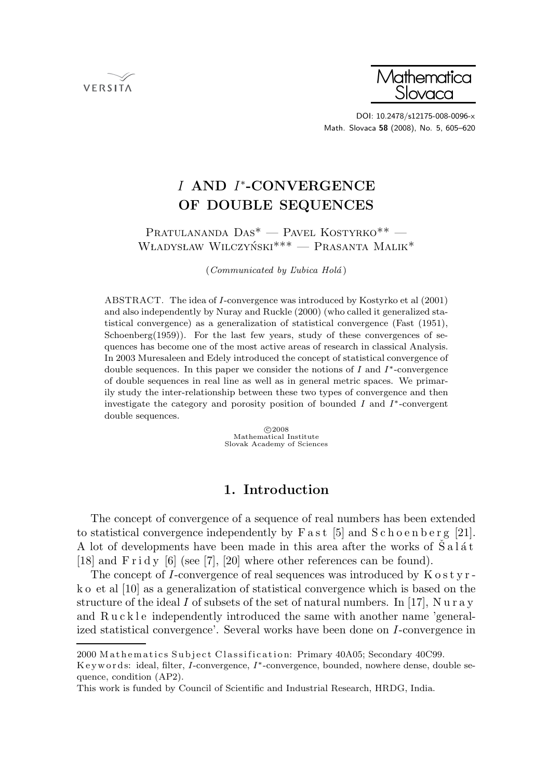



DOI: 10.2478/s12175-008-0096-x Math. Slovaca **58** (2008), No. 5, 605–620

# *I* **AND** *I*∗**-CONVERGENCE OF DOUBLE SEQUENCES**

## Pratulananda Das\* — Pavel Kostyrko\*\* — WŁADYSŁAW WILCZYŃSKI<sup>\*\*\*</sup> — PRASANTA MALIK<sup>\*</sup>

 $(Communicated by Lubica Holá)$ 

ABSTRACT. The idea of I-convergence was introduced by Kostyrko et al (2001) and also independently by Nuray and Ruckle (2000) (who called it generalized statistical convergence) as a generalization of statistical convergence (Fast (1951), Schoenberg $(1959)$ ). For the last few years, study of these convergences of sequences has become one of the most active areas of research in classical Analysis. In 2003 Muresaleen and Edely introduced the concept of statistical convergence of double sequences. In this paper we consider the notions of I and  $I^*$ -convergence of double sequences in real line as well as in general metric spaces. We primarily study the inter-relationship between these two types of convergence and then investigate the category and porosity position of bounded I and I∗-convergent double sequences.

> 02008<br>Mathematical Institute  $C$  2008 Slovak Academy of Sciences

# **1. Introduction**

The concept of convergence of a sequence of real numbers has been extended to statistical convergence independently by  $\text{Fast}$  [5] and  $\text{Schoenberg}$  [21]. A lot of developments have been made in this area after the works of  $S$  a  $1$  at [18] and  $\operatorname{Find} y$  [6] (see [7], [20] where other references can be found).

The concept of I-convergence of real sequences was introduced by  $K \circ s t$  y r k o et al [10] as a generalization of statistical convergence which is based on the structure of the ideal I of subsets of the set of natural numbers. In [17], N u r a y and R u c k l e independently introduced the same with another name 'generalized statistical convergence'. Several works have been done on I-convergence in

<sup>2000</sup> Mathematics Subject Classification: Primary 40A05; Secondary 40C99.

K e y w o r d s: ideal, filter, I-convergence, I∗-convergence, bounded, nowhere dense, double sequence, condition (AP2).

This work is funded by Council of Scientific and Industrial Research, HRDG, India.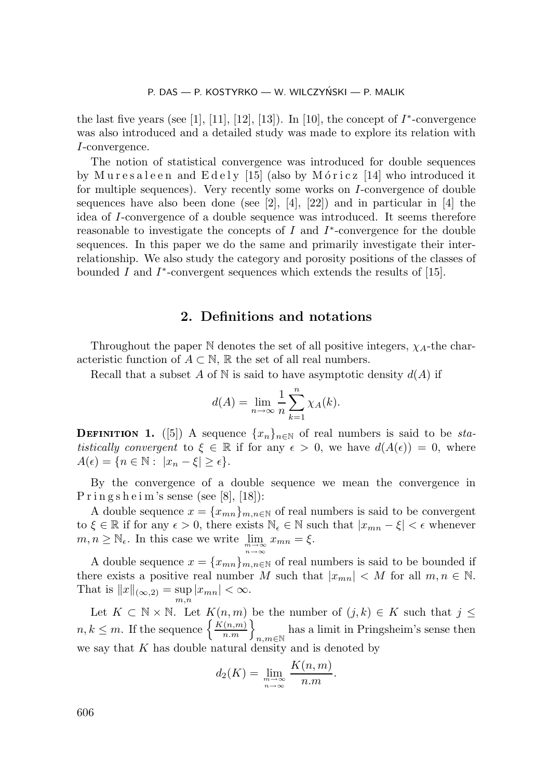the last five years (see [1], [11], [12], [13]). In [10], the concept of  $I^*$ -convergence was also introduced and a detailed study was made to explore its relation with I-convergence.

The notion of statistical convergence was introduced for double sequences by Muresaleen and  $Edely$  [15] (also by Móricz [14] who introduced it for multiple sequences). Very recently some works on I-convergence of double sequences have also been done (see [2],  $[4]$ ,  $[22]$ ) and in particular in [4] the idea of I-convergence of a double sequence was introduced. It seems therefore reasonable to investigate the concepts of I and  $I^*$ -convergence for the double sequences. In this paper we do the same and primarily investigate their interrelationship. We also study the category and porosity positions of the classes of bounded I and  $I^*$ -convergent sequences which extends the results of [15].

### **2. Definitions and notations**

Throughout the paper  $\mathbb N$  denotes the set of all positive integers,  $\chi_{A}$ -the characteristic function of  $A \subset \mathbb{N}$ , R the set of all real numbers.

Recall that a subset A of N is said to have asymptotic density  $d(A)$  if

$$
d(A) = \lim_{n \to \infty} \frac{1}{n} \sum_{k=1}^{n} \chi_A(k).
$$

**DEFINITION 1.** ([5]) A sequence  $\{x_n\}_{n\in\mathbb{N}}$  of real numbers is said to be *statistically convergent* to  $\xi \in \mathbb{R}$  if for any  $\epsilon > 0$ , we have  $d(A(\epsilon)) = 0$ , where  $A(\epsilon) = \{n \in \mathbb{N} : |x_n - \xi| \geq \epsilon\}.$ 

By the convergence of a double sequence we mean the convergence in  $P \text{ ring } s \text{ h } e \text{ i m's sense (see [8], [18])}:$ 

A double sequence  $x = \{x_{mn}\}_{m,n\in\mathbb{N}}$  of real numbers is said to be convergent to  $\xi \in \mathbb{R}$  if for any  $\epsilon > 0$ , there exists  $\mathbb{N}_{\epsilon} \in \mathbb{N}$  such that  $|x_{mn} - \xi| < \epsilon$  whenever  $m, n \geq \mathbb{N}_{\epsilon}$ . In this case we write  $\lim_{\substack{m \to \infty \\ n \to \infty}}$  $x_{mn} = \xi$ .

A double sequence  $x = \{x_{mn}\}_{m,n\in\mathbb{N}}$  of real numbers is said to be bounded if there exists a positive real number M such that  $|x_{mn}| < M$  for all  $m, n \in \mathbb{N}$ . That is  $||x||_{(\infty,2)} = \sup_{m} |x_{mn}| < \infty$ .  $\overline{m}.\overline{n}$ 

Let  $K \subset \mathbb{N} \times \mathbb{N}$ . Let  $K(n,m)$  be the number of  $(j,k) \in K$  such that  $j \leq$  $n, k \leq m$ . If the sequence  $\left\{ \frac{K(n,m)}{n,m} \right\}_{n,m \in \mathbb{N}}$ has a limit in Pringsheim's sense then we say that  $K$  has double natural density and is denoted by

$$
d_2(K) = \lim_{\substack{m \to \infty \\ n \to \infty}} \frac{K(n, m)}{n.m}.
$$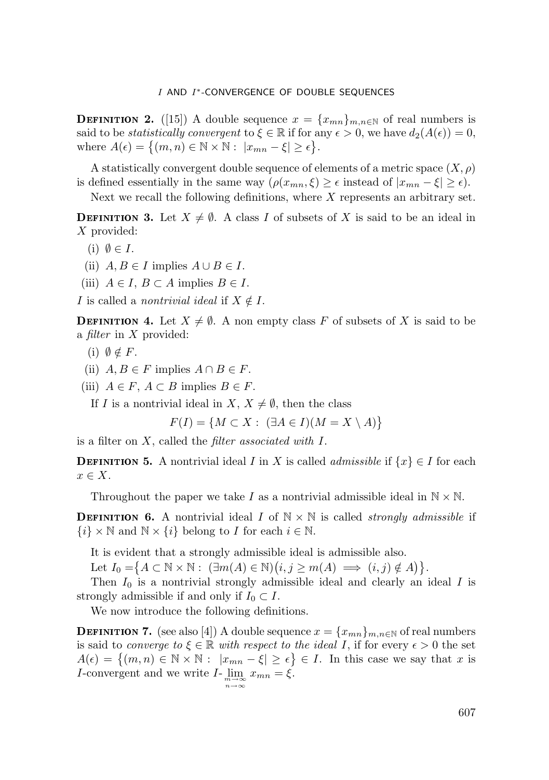**DEFINITION 2.** ([15]) A double sequence  $x = \{x_{mn}\}_{m,n\in\mathbb{N}}$  of real numbers is said to be *statistically convergent* to  $\xi \in \mathbb{R}$  if for any  $\epsilon > 0$ , we have  $d_2(A(\epsilon)) = 0$ , where  $A(\epsilon) = \{(m, n) \in \mathbb{N} \times \mathbb{N} : |x_{mn} - \xi| \geq \epsilon\}.$ 

A statistically convergent double sequence of elements of a metric space  $(X, \rho)$ is defined essentially in the same way  $(\rho(x_{mn}, \xi) \geq \epsilon \text{ instead of } |x_{mn} - \xi| \geq \epsilon).$ 

Next we recall the following definitions, where  $X$  represents an arbitrary set.

**DEFINITION 3.** Let  $X \neq \emptyset$ . A class I of subsets of X is said to be an ideal in X provided:

- $(i)$   $\emptyset \in I$ .
- (ii)  $A, B \in I$  implies  $A \cup B \in I$ .
- (iii)  $A \in I$ ,  $B \subset A$  implies  $B \in I$ .

I is called a *nontrivial ideal* if  $X \notin I$ .

**DEFINITION 4.** Let  $X \neq \emptyset$ . A non empty class F of subsets of X is said to be a *filter* in X provided:

- (i)  $\emptyset \notin F$ .
- (ii)  $A, B \in F$  implies  $A \cap B \in F$ .
- (iii)  $A \in F$ ,  $A \subset B$  implies  $B \in F$ .

If I is a nontrivial ideal in  $X, X \neq \emptyset$ , then the class

 $F(I) = \{M \subset X : (\exists A \in I)(M = X \setminus A)\}\$ 

is a filter on X, called the *filter associated with* I.

**DEFINITION 5.** A nontrivial ideal I in X is called *admissible* if  $\{x\} \in I$  for each  $x \in X$ .

Throughout the paper we take I as a nontrivial admissible ideal in  $\mathbb{N} \times \mathbb{N}$ .

**DEFINITION 6.** A nontrivial ideal I of  $N \times N$  is called *strongly admissible* if  $\{i\} \times \mathbb{N}$  and  $\mathbb{N} \times \{i\}$  belong to I for each  $i \in \mathbb{N}$ .

It is evident that a strongly admissible ideal is admissible also.

Let  $I_0 = \{ A \subset \mathbb{N} \times \mathbb{N} : (\exists m(A) \in \mathbb{N}) (i, j \ge m(A) \implies (i, j) \notin A) \}.$ 

Then  $I_0$  is a nontrivial strongly admissible ideal and clearly an ideal  $I$  is strongly admissible if and only if  $I_0 \subset I$ .

We now introduce the following definitions.

**DEFINITION 7.** (see also [4]) A double sequence  $x = \{x_{mn}\}_{m,n\in\mathbb{N}}$  of real numbers is said to *converge to*  $\xi \in \mathbb{R}$  *with respect to the ideal* I, if for every  $\epsilon > 0$  the set  $A(\epsilon) = \{(m,n) \in \mathbb{N} \times \mathbb{N} : |x_{mn} - \xi| \geq \epsilon\} \in I$ . In this case we say that x is *I*-convergent and we write  $I$ - $\lim_{\substack{m \to \infty \\ n \to \infty}}$  $x_{mn} = \xi.$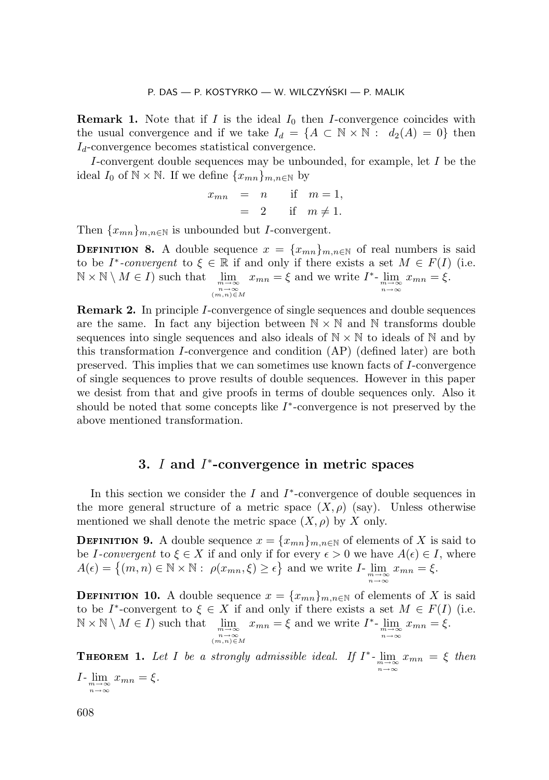**Remark 1.** Note that if I is the ideal  $I_0$  then I-convergence coincides with the usual convergence and if we take  $I_d = \{A \subset \mathbb{N} \times \mathbb{N} : d_2(A) = 0\}$  then  $I_d$ -convergence becomes statistical convergence.

I-convergent double sequences may be unbounded, for example, let I be the ideal  $I_0$  of  $\mathbb{N} \times \mathbb{N}$ . If we define  $\{x_{mn}\}_{m,n\in\mathbb{N}}$  by

$$
x_{mn} = n \quad \text{if} \quad m = 1,
$$
  

$$
= 2 \quad \text{if} \quad m \neq 1.
$$

Then  $\{x_{mn}\}_{m,n\in\mathbb{N}}$  is unbounded but *I*-convergent.

**DEFINITION 8.** A double sequence  $x = \{x_{mn}\}_{m,n\in\mathbb{N}}$  of real numbers is said to be  $I^*$ -convergent to  $\xi \in \mathbb{R}$  if and only if there exists a set  $M \in F(I)$  (i.e.  $\mathbb{N} \times \mathbb{N} \setminus M \in I$  such that  $\lim_{m \to \infty}$ *<sup>n</sup>*→∞ (*m,n*)∈*<sup>M</sup>*  $x_{mn} = \xi$  and we write  $I^*$ -  $\lim_{\substack{m \to \infty \\ n \to \infty}}$  $x_{mn} = \overline{\xi}.$ 

**Remark 2.** In principle I-convergence of single sequences and double sequences are the same. In fact any bijection between  $N \times N$  and N transforms double sequences into single sequences and also ideals of  $N \times N$  to ideals of N and by this transformation I-convergence and condition (AP) (defined later) are both preserved. This implies that we can sometimes use known facts of I-convergence of single sequences to prove results of double sequences. However in this paper we desist from that and give proofs in terms of double sequences only. Also it should be noted that some concepts like  $I^*$ -convergence is not preserved by the above mentioned transformation.

# **3.** *I* **and** *I*∗**-convergence in metric spaces**

In this section we consider the I and  $I^*$ -convergence of double sequences in the more general structure of a metric space  $(X, \rho)$  (say). Unless otherwise mentioned we shall denote the metric space  $(X, \rho)$  by X only.

**DEFINITION 9.** A double sequence  $x = \{x_{mn}\}_{m,n\in\mathbb{N}}$  of elements of X is said to be I-convergent to  $\xi \in X$  if and only if for every  $\epsilon > 0$  we have  $A(\epsilon) \in I$ , where  $A(\epsilon) = \{(m, n) \in \mathbb{N} \times \mathbb{N} : \rho(x_{mn}, \xi) \ge \epsilon\}$  and we write  $I$ - $\lim_{\substack{m \to \infty \\ n \to \infty}}$  $x_{mn} = \xi$ .

**DEFINITION 10.** A double sequence  $x = \{x_{mn}\}_{m,n\in\mathbb{N}}$  of elements of X is said to be I<sup>\*</sup>-convergent to  $\xi \in X$  if and only if there exists a set  $M \in F(I)$  (i.e.  $\mathbb{N} \times \mathbb{N} \setminus M \in I$  such that *<sup>n</sup>*→∞ (*m,n*)∈*<sup>M</sup>*  $x_{mn} = \xi$  and we write  $I^*$ -  $\lim_{\substack{m \to \infty \\ n \to \infty}}$  $x_{mn} = \overline{\xi}.$ 

**11** *Let* I *be a strongly admissible ideal. If*  $I^*$ - $\lim_{m \to \infty} x_{mn} = \xi$  *then n*→∞  $x_{mn} = \xi$ .

 $I$ - $\lim_{\substack{m \to \infty \\ n \to \infty}}$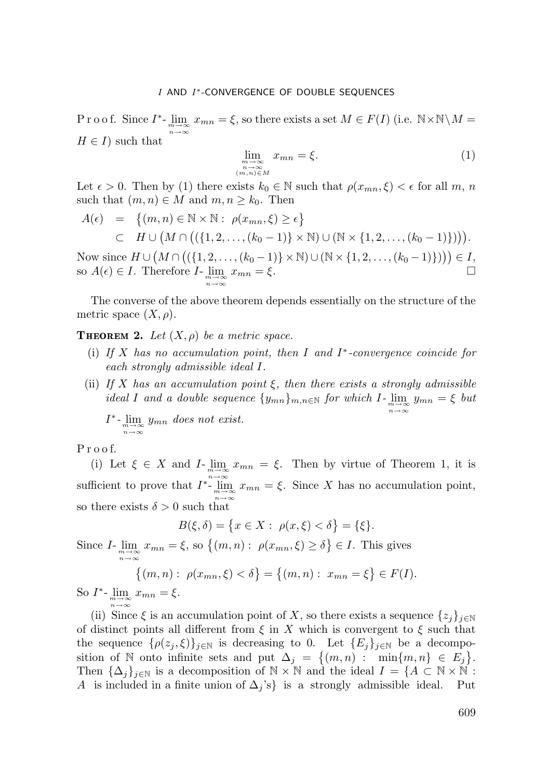P r o o f. Since  $I^*$ -  $\lim_{m \to \infty} x_{mn} = \xi$ , so there exists a set  $M \in F(I)$  (i.e.  $N \times N \setminus M =$ *n*→∞  $H \in I$  such that

$$
\lim_{\substack{m \to \infty \\ n \to \infty \\ (m,n) \in M}} x_{mn} = \xi.
$$
\n(1)

Let  $\epsilon > 0$ . Then by (1) there exists  $k_0 \in \mathbb{N}$  such that  $\rho(x_{mn}, \xi) < \epsilon$  for all m, n such that  $(m, n) \in M$  and  $m, n \geq k_0$ . Then

$$
A(\epsilon) = \{(m, n) \in \mathbb{N} \times \mathbb{N} : \rho(x_{mn}, \xi) \ge \epsilon\}
$$
  

$$
\subset H \cup (M \cap ((\{1, 2, \ldots, (k_0 - 1)\} \times \mathbb{N}) \cup (\mathbb{N} \times \{1, 2, \ldots, (k_0 - 1)\}))).
$$

Now since  $H \cup (M \cap ((\{1, 2, ..., (k_0 - 1)\} \times \mathbb{N}) \cup (\mathbb{N} \times \{1, 2, ..., (k_0 - 1)\})) ) \in I$ , so  $A(\epsilon) \in I$ . Therefore  $I$ - $\lim_{\substack{m \to \infty \\ n \to \infty}}$  $x_{mn} = \xi$ .

The converse of the above theorem depends essentially on the structure of the metric space  $(X, \rho)$ .

**THEOREM 2.** Let  $(X, \rho)$  be a metric space.

- (i) *If* X *has no accumulation point, then* I *and* I∗*-convergence coincide for each strongly admissible ideal* I*.*
- (ii) *If* X *has an accumulation point* ξ*, then there exists a strongly admissible ideal I* and a double sequence  $\{y_{mn}\}_{m,n\in\mathbb{N}}$  for which  $I$ - $\lim_{\substack{m\to\infty\\n\to\infty}}$  $y_{mn} = \xi$  *but*

$$
I^* \text{-} \lim_{\substack{m \to \infty \\ n \to \infty}} y_{mn} \text{ does not exist.}
$$

P r o o f.

(i) Let  $\xi \in X$  and *I*- $\lim_{m \to \infty} x_{mn} = \xi$ . Then by virtue of Theorem 1, it is sufficient to prove that  $I^*$ - $\lim_{m \to \infty}$ <br>*n*→∞  $x_{mn} = \xi$ . Since X has no accumulation point, so there exists  $\delta > 0$  such that

$$
B(\xi, \delta) = \{ x \in X : \ \rho(x, \xi) < \delta \} = \{ \xi \}.
$$

Since  $I$ -  $\lim_{\substack{m \to \infty \\ n \to \infty}}$  $x_{mn} = \xi$ , so  $\{(m, n) : \rho(x_{mn}, \xi) \ge \delta\} \in I$ . This gives

$$
\{(m, n): \ \rho(x_{mn}, \xi) < \delta\} = \{(m, n): \ x_{mn} = \xi\} \in F(I).
$$

So  $I^*$ -  $\lim_{\substack{m \to \infty \\ n \to \infty}}$  $x_{mn} = \xi$ .

(ii) Since  $\xi$  is an accumulation point of X, so there exists a sequence  $\{z_j\}_{j\in\mathbb{N}}$ of distinct points all different from  $\xi$  in X which is convergent to  $\xi$  such that the sequence  $\{\rho(z_j,\xi)\}_{j\in\mathbb{N}}$  is decreasing to 0. Let  $\{E_j\}_{j\in\mathbb{N}}$  be a decomposition of N onto infinite sets and put  $\Delta_j = \{(m,n) : \min\{m,n\} \in E_j\}.$ Then  $\{\Delta_j\}_{j\in\mathbb{N}}$  is a decomposition of  $\mathbb{N}\times\mathbb{N}$  and the ideal  $I = \{A \subset \mathbb{N}\times\mathbb{N} : A$  is included in a finite union of  $\Delta_j$ 's} is a strongly admissible ideal. Put A is included in a finite union of  $\Delta_i$ 's} is a strongly admissible ideal.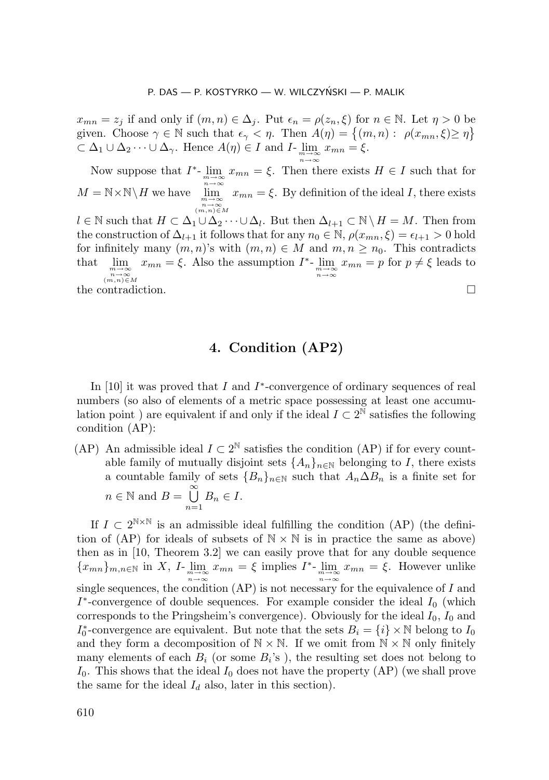$x_{mn} = z_j$  if and only if  $(m, n) \in \Delta_j$ . Put  $\epsilon_n = \rho(z_n, \xi)$  for  $n \in \mathbb{N}$ . Let  $\eta > 0$  be given. Choose  $\gamma \in \mathbb{N}$  such that  $\epsilon_{\gamma} < \eta$ . Then  $A(\eta) = \{(m, n) : \rho(x_{mn}, \xi) \geq \eta\}$  $\subset \Delta_1 \cup \Delta_2 \cdots \cup \Delta_{\gamma}$ . Hence  $A(\eta) \in I$  and  $I$ - $\lim_{m \to \infty} x_{mn} = \xi$ .

Now suppose that  $I^*$ - $\lim_{m \to \infty} x_{mn} = \xi$ . Then there exists  $H \in I$  such that for *n*→∞  $M = \mathbb{N} \times \mathbb{N} \backslash H$  we have  $\binom{n\to\infty}{m,n}$ ∈*M*  $x_{mn} = \xi$ . By definition of the ideal I, there exists  $l \in \mathbb{N}$  such that  $H \subset \Delta_1 \cup \Delta_2 \cdots \cup \Delta_l$ . But then  $\Delta_{l+1} \subset \mathbb{N} \setminus H = M$ . Then from the construction of  $\Delta_{l+1}$  it follows that for any  $n_0 \in \mathbb{N}$ ,  $\rho(x_{mn}, \xi) = \epsilon_{l+1} > 0$  hold for infinitely many  $(m, n)$ 's with  $(m, n) \in M$  and  $m, n \geq n_0$ . This contradicts that  $\lim_{\substack{m\to\infty\\n\to\infty}} x_{mn} = \xi$ . Also the assumption  $I^*$ -  $\lim_{\substack{m\to\infty\\n\to\infty}}$  $\lim_{m\to\infty}$ <br>  $\lim_{n\to\infty}$ <br>  $(m,n) \in M$  $x_{mn} = p$  for  $p \neq \xi$  leads to the contradiction.

# **4. Condition (AP2)**

In [10] it was proved that I and  $I^*$ -convergence of ordinary sequences of real numbers (so also of elements of a metric space possessing at least one accumulation point) are equivalent if and only if the ideal  $I \subset 2^N$  satisfies the following condition (AP):

(AP) An admissible ideal  $I \subset 2^{\mathbb{N}}$  satisfies the condition (AP) if for every countable family of mutually disjoint sets  $\{A_n\}_{n\in\mathbb{N}}$  belonging to I, there exists a countable family of sets  ${B_n}_{n \in \mathbb{N}}$  such that  $A_n \Delta B_n$  is a finite set for  $n \in \mathbb{N}$  and  $B = \bigcup_{n=1}^{\infty}$  $n=1$  $B_n \in I$ .

If  $I \subset 2^{N \times N}$  is an admissible ideal fulfilling the condition (AP) (the definition of (AP) for ideals of subsets of  $N \times N$  is in practice the same as above) then as in [10, Theorem 3.2] we can easily prove that for any double sequence  ${x_{mn}}_{m,n\in\mathbb{N}}$  in X,  $I$ -  $\lim_{m\to\infty}x_{mn} = \xi$  implies  $I^*$ -  $\lim_{m\to\infty}x_{mn} = \xi$ . However unlike single sequences, the condition (AP) is not necessary for the equivalence of I and  $n \rightarrow \infty$  $I^*$ -convergence of double sequences. For example consider the ideal  $I_0$  (which corresponds to the Pringsheim's convergence). Obviously for the ideal  $I_0$ ,  $I_0$  and  $I_0^*$ -convergence are equivalent. But note that the sets  $B_i = \{i\} \times \mathbb{N}$  belong to  $I_0$ and they form a decomposition of  $\mathbb{N} \times \mathbb{N}$ . If we omit from  $\mathbb{N} \times \mathbb{N}$  only finitely many elements of each  $B_i$  (or some  $B_i$ 's), the resulting set does not belong to  $I_0$ . This shows that the ideal  $I_0$  does not have the property  $(AP)$  (we shall prove the same for the ideal  $I_d$  also, later in this section).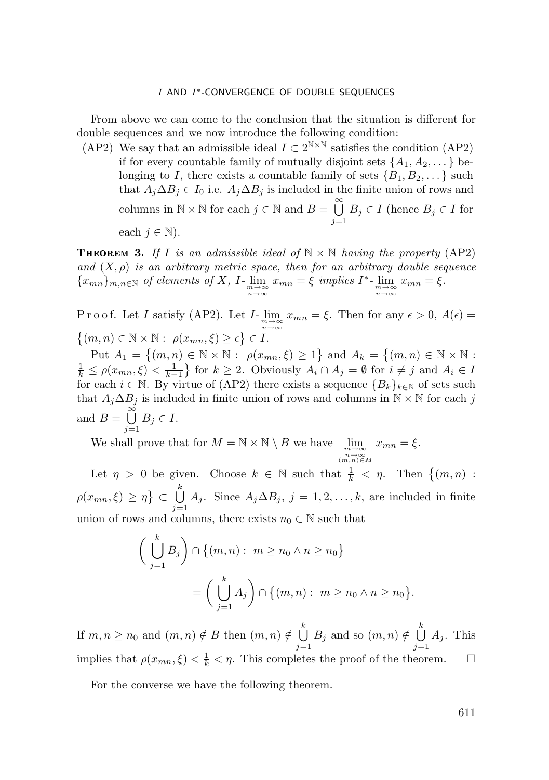From above we can come to the conclusion that the situation is different for double sequences and we now introduce the following condition:

(AP2) We say that an admissible ideal  $I \subset 2^{N \times N}$  satisfies the condition (AP2) if for every countable family of mutually disjoint sets  $\{A_1, A_2, \ldots\}$  belonging to I, there exists a countable family of sets  $\{B_1, B_2, \dots\}$  such that  $A_i \Delta B_i \in I_0$  i.e.  $A_i \Delta B_i$  is included in the finite union of rows and columns in  $\mathbb{N} \times \mathbb{N}$  for each  $j \in \mathbb{N}$  and  $B = \bigcup_{i=1}^{\infty} B_i$  $j=1$  $B_j \in I$  (hence  $B_j \in I$  for each  $j \in \mathbb{N}$ ).

**THEOREM 3.** If I is an admissible ideal of  $\mathbb{N} \times \mathbb{N}$  having the property (AP2) *and*  $(X, \rho)$  *is an arbitrary metric space, then for an arbitrary double sequence*  ${x_{mn}}_{m,n\in\mathbb{N}}$  *of elements of* X, I *-*  $\lim_{\substack{m\to\infty\\n\to\infty}} x_{mn} = \xi$  *implies* I<sup>\*</sup> -  $\lim_{\substack{m\to\infty\\n\to\infty}}$  $x_{mn} = \xi$ .

P r o o f. Let I satisfy (AP2). Let  $I$ -  $\lim_{\substack{m \to \infty \\ n \to \infty}}$  $x_{mn} = \xi$ . Then for any  $\epsilon > 0$ ,  $A(\epsilon) =$  $\{(m, n) \in \mathbb{N} \times \mathbb{N} : \rho(x_{mn}, \xi) \geq \epsilon\} \in I.$ 

Put  $A_1 = \{(m, n) \in \mathbb{N} \times \mathbb{N} : \rho(x_{mn}, \xi) \ge 1\}$  and  $A_k = \{(m, n) \in \mathbb{N} \times \mathbb{N} : \xi \in \mathbb{N} \times \mathbb{N}\}$  $\frac{1}{k} \le \rho(x_{mn}, \xi) < \frac{1}{k-1}$  for  $k \ge 2$ . Obviously  $A_i \cap A_j = \emptyset$  for  $i \ne j$  and  $A_i \in I$ for each  $i \in \mathbb{N}$ . By virtue of (AP2) there exists a sequence  ${B_k}_{k \in \mathbb{N}}$  of sets such that  $A_j \Delta B_j$  is included in finite union of rows and columns in  $\mathbb{N} \times \mathbb{N}$  for each j and  $B = \bigcup^{\infty}$  $j=1$  $B_j \in I$ .

We shall prove that for  $M = \mathbb{N} \times \mathbb{N} \setminus B$  we have  $\lim_{m \to \infty}$ *<sup>n</sup>*→∞ (*m,n*)∈*<sup>M</sup>*  $x_{mn} = \xi$ .

Let  $\eta > 0$  be given. Choose  $k \in \mathbb{N}$  such that  $\frac{1}{k} < \eta$ . Then  $\{(m, n) :$  $\rho(x_{mn}, \xi) \geq \eta$ }  $\subset \cup$ k  $j=1$  $A_j$ . Since  $A_j \Delta B_j$ ,  $j = 1, 2, ..., k$ , are included in finite union of rows and columns, there exists  $n_0 \in \mathbb{N}$  such that

$$
\left(\bigcup_{j=1}^{k} B_j\right) \cap \left\{(m, n) : m \ge n_0 \land n \ge n_0\right\}
$$

$$
= \left(\bigcup_{j=1}^{k} A_j\right) \cap \left\{(m, n) : m \ge n_0 \land n \ge n_0\right\}
$$

If  $m, n \geq n_0$  and  $(m, n) \notin B$  then  $(m, n) \notin \bigcup_{k=1}^{k}$  $j=1$  $B_j$  and so  $(m, n) \notin \bigcup^k$  $j=1$  $A_j$ . This implies that  $\rho(x_{mn}, \xi) < \frac{1}{k} < \eta$ . This completes the proof of the theorem.  $\Box$ 

For the converse we have the following theorem.

.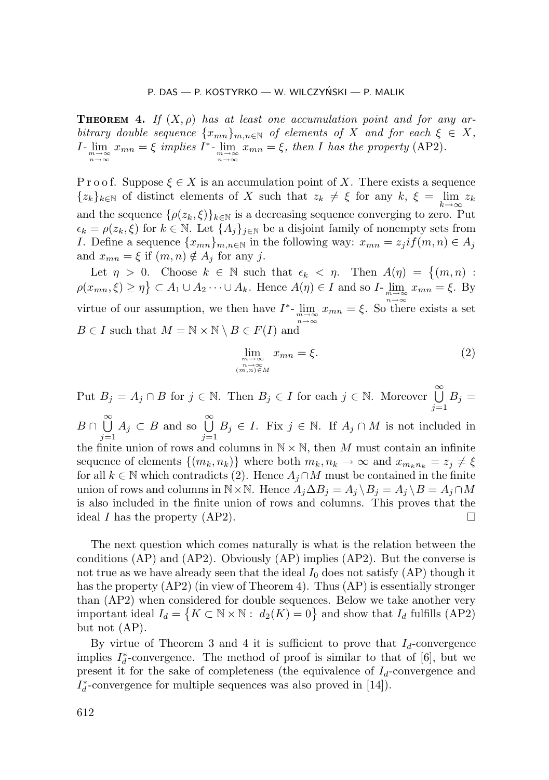**THEOREM 4.** If  $(X, \rho)$  has at least one accumulation point and for any ar*bitrary double sequence*  $\{x_{mn}\}_{m,n\in\mathbb{N}}$  *of elements of* X *and for each*  $\xi \in X$ *,*  $I$ - $\lim_{\substack{m \to \infty \\ n \to \infty}} x_{mn} = \xi$  *implies*  $I^*$ - $\lim_{\substack{m \to \infty \\ n \to \infty}}$  $x_{mn} = \xi$ , then I has the property (AP2).

P r o o f. Suppose  $\xi \in X$  is an accumulation point of X. There exists a sequence  ${z_k}_{k \in \mathbb{N}}$  of distinct elements of X such that  $z_k \neq \xi$  for any  $k, \xi = \lim_{k \to \infty} z_k$ and the sequence  $\{\rho(z_k,\xi)\}_{k\in\mathbb{N}}$  is a decreasing sequence converging to zero. Put  $\epsilon_k = \rho(z_k, \xi)$  for  $k \in \mathbb{N}$ . Let  $\{A_j\}_{j \in \mathbb{N}}$  be a disjoint family of nonempty sets from I. Define a sequence  $\{x_{mn}\}_{m,n\in\mathbb{N}}$  in the following way:  $x_{mn} = z_j i f(m,n) \in A_j$ and  $x_{mn} = \xi$  if  $(m, n) \notin A_j$  for any j.

Let  $\eta > 0$ . Choose  $k \in \mathbb{N}$  such that  $\epsilon_k < \eta$ . Then  $A(\eta) = \{(m, n) :$  $\rho(x_{mn}, \xi) \ge \eta$   $\subset A_1 \cup A_2 \cdots \cup A_k$ . Hence  $A(\eta) \in I$  and so  $I$ - $\lim_{m \to \infty} x_{mn} = \xi$ . By virtue of our assumption, we then have  $I^*$ -  $\lim_{m \to \infty} x_{mn} = \xi$ . So there exists a set *n*→∞  $B \in I$  such that  $M = \mathbb{N} \times \mathbb{N} \setminus B \in F(I)$  and

$$
\lim_{\substack{m \to \infty \\ n, n \in M}} x_{mn} = \xi.
$$
\n(2)

Put  $B_j = A_j \cap B$  for  $j \in \mathbb{N}$ . Then  $B_j \in I$  for each  $j \in \mathbb{N}$ . Moreover  $\bigcup_{j=1}^{\infty} B_j = I_j$  $j=1$  $B \cap \overset{\infty}{\bigcup}$  $j=1$  $A_j \subset B$  and so  $\bigcup^{\infty}$  $j=1$  $B_j \in I$ . Fix  $j \in \mathbb{N}$ . If  $A_j \cap M$  is not included in the finite union of rows and columns in  $N \times N$ , then M must contain an infinite sequence of elements  $\{(m_k, n_k)\}\$  where both  $m_k, n_k \to \infty$  and  $x_{m_k, n_k} = z_j \neq \xi$ for all  $k \in \mathbb{N}$  which contradicts (2). Hence  $A_j \cap M$  must be contained in the finite union of rows and columns in N ×N. Hence  $A_i \Delta B_i = A_i \Bra{B_i = A_j \cap M$ is also included in the finite union of rows and columns. This proves that the ideal I has the property (AP2).

The next question which comes naturally is what is the relation between the conditions (AP) and (AP2). Obviously (AP) implies (AP2). But the converse is not true as we have already seen that the ideal  $I_0$  does not satisfy  $(AP)$  though it has the property (AP2) (in view of Theorem 4). Thus (AP) is essentially stronger than (AP2) when considered for double sequences. Below we take another very important ideal  $I_d = \{K \subset \mathbb{N} \times \mathbb{N} : d_2(K) = 0\}$  and show that  $I_d$  fulfills (AP2) but not (AP).

By virtue of Theorem 3 and 4 it is sufficient to prove that  $I_d$ -convergence implies  $I_d^*$ -convergence. The method of proof is similar to that of [6], but we present it for the sake of completeness (the equivalence of  $I_d$ -convergence and  $I_d^*$ -convergence for multiple sequences was also proved in [14]).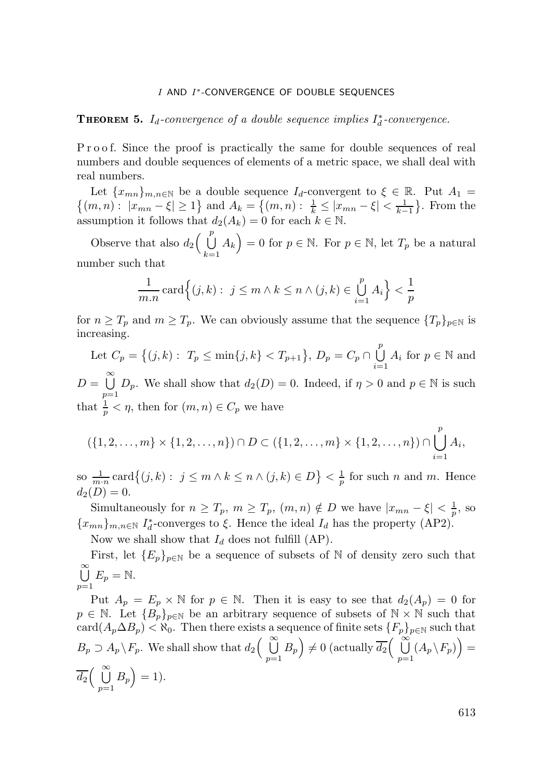**THEOREM 5.**  $I_d$ -convergence of a double sequence implies  $I_d^*$ -convergence.

P r o o f. Since the proof is practically the same for double sequences of real numbers and double sequences of elements of a metric space, we shall deal with real numbers.

Let  $\{x_{mn}\}_{m,n\in\mathbb{N}}$  be a double sequence  $I_d$ -convergent to  $\xi \in \mathbb{R}$ . Put  $A_1 = \{(m, n) : |x_{mn} - \xi| \ge 1\}$  and  $A_k = \{(m, n) : \frac{1}{k} \le |x_{mn} - \xi| < \frac{1}{k-1}\}$ . From the assumption it follows that  $d_2(A_k) = 0$  for each  $k \in \mathbb{N}$ .

Observe that also  $d_2\left(\begin{array}{c}p\end{array}\right)$  $k=1$  $A_k$ ) = 0 for  $p \in \mathbb{N}$ . For  $p \in \mathbb{N}$ , let  $T_p$  be a natural number such that

$$
\frac{1}{m.n} \operatorname{card} \left\{ (j,k) : j \le m \land k \le n \land (j,k) \in \bigcup_{i=1}^p A_i \right\} < \frac{1}{p}
$$

for  $n \geq T_p$  and  $m \geq T_p$ . We can obviously assume that the sequence  $\{T_p\}_{p \in \mathbb{N}}$  is increasing.

Let 
$$
C_p = \{(j,k) : T_p \le \min\{j,k\} < T_{p+1}\}\
$$
,  $D_p = C_p \cap \bigcup_{i=1}^p A_i$  for  $p \in \mathbb{N}$  and  
\n
$$
D = \bigcup_{p=1}^{\infty} D_p.
$$
 We shall show that  $d_2(D) = 0$ . Indeed, if  $\eta > 0$  and  $p \in \mathbb{N}$  is such that  $\frac{1}{p} < \eta$ , then for  $(m, n) \in C_p$  we have

$$
(\{1,2,\ldots,m\}\times\{1,2,\ldots,n\})\cap D\subset (\{1,2,\ldots,m\}\times\{1,2,\ldots,n\})\cap \bigcup_{i=1}^p A_i,
$$

so  $\frac{1}{m \cdot n} \operatorname{card}\{(j, k) : j \leq m \wedge k \leq n \wedge (j, k) \in D\} < \frac{1}{p}$  for such *n* and *m*. Hence  $d_2(D) = 0.$ 

Simultaneously for  $n \geq T_p$ ,  $m \geq T_p$ ,  $(m, n) \notin D$  we have  $|x_{mn} - \xi| < \frac{1}{p}$ , so  ${x_{mn}}_{m,n\in\mathbb{N}} I_d^*$ -converges to  $\xi$ . Hence the ideal  $I_d$  has the property  $(AP2)$ .

Now we shall show that  $I_d$  does not fulfill (AP).

First, let  ${E_p}_{p \in \mathbb{N}}$  be a sequence of subsets of N of density zero such that 。<br>U  $\sum_{p=1}^{\infty}$  $E_p = N$ .

Put  $A_p = E_p \times \mathbb{N}$  for  $p \in \mathbb{N}$ . Then it is easy to see that  $d_2(A_p) = 0$  for  $p \in \mathbb{N}$ . Let  ${B_p}_{p \in \mathbb{N}}$  be an arbitrary sequence of subsets of  $\mathbb{N} \times \mathbb{N}$  such that card $(A_p \Delta B_p) < \aleph_0$ . Then there exists a sequence of finite sets  $\{F_p\}_{p \in \mathbb{N}}$  such that  $B_p \supset A_p \backslash F_p$ . We shall show that  $d_2 \begin{pmatrix} \infty \\ \infty \end{pmatrix}$  $\sum_{p=1}^{\infty}$  $(B_p) \neq 0$  (actually  $\overline{d_2}$   $\begin{pmatrix} \infty \\ \infty \end{pmatrix}$  $\sum_{p=1}^{\infty}$  $(A_p \backslash F_p)\big) =$  $\overline{d_2}$ ( $\stackrel{\infty}{\bigcup}$  $\sum_{p=1}^{\infty}$  $B_p$  = 1).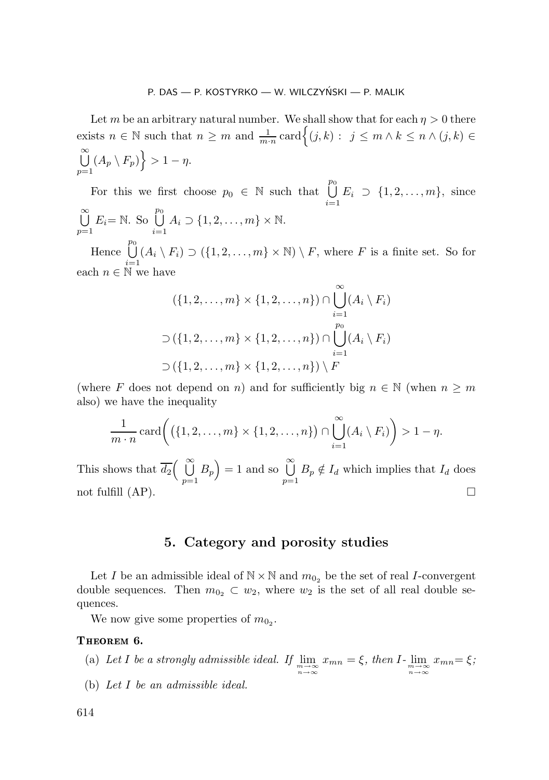Let m be an arbitrary natural number. We shall show that for each  $\eta > 0$  there exists  $n \in \mathbb{N}$  such that  $n \geq m$  and  $\frac{1}{m \cdot n} \operatorname{card} \left\{ (j, k) : j \leq m \wedge k \leq n \wedge (j, k) \in \mathbb{N} \right\}$ 。<br>U  $\sum_{p=1}$  $(A_p \setminus F_p) > 1 - \eta.$ 

For this we first choose  $p_0 \in \mathbb{N}$  such that  $\bigcup^{p_0}$  $i=1$  $E_i \supset \{1, 2, ..., m\}, \text{ since }$  ∞  $\sum_{p=1}$  $E_i = \mathbb{N}$ . So  $\bigcup^{p_0}$  $i=1$  $A_i \supset \{1, 2, \ldots, m\} \times \mathbb{N}.$  $\overline{p}_0$ 

Hence U  $i=1$  $(A_i \setminus F_i) \supset (\{1, 2, ..., m\} \times \mathbb{N}) \setminus F$ , where F is a finite set. So for each  $n \in \mathbb{N}$  we have

$$
(\{1, 2, \ldots, m\} \times \{1, 2, \ldots, n\}) \cap \bigcup_{i=1}^{\infty} (A_i \setminus F_i)
$$
  

$$
\supset (\{1, 2, \ldots, m\} \times \{1, 2, \ldots, n\}) \cap \bigcup_{i=1}^{p_0} (A_i \setminus F_i)
$$
  

$$
\supset (\{1, 2, \ldots, m\} \times \{1, 2, \ldots, n\}) \setminus F
$$

(where F does not depend on n) and for sufficiently big  $n \in \mathbb{N}$  (when  $n \geq m$ also) we have the inequality

$$
\frac{1}{m \cdot n} \operatorname{card} \left( \left( \{1, 2, \dots, m\} \times \{1, 2, \dots, n\} \right) \cap \bigcup_{i=1}^{\infty} (A_i \setminus F_i) \right) > 1 - \eta.
$$

This shows that  $\overline{d_2}$   $\begin{pmatrix} \infty \\ \cup \end{pmatrix}$  $\sum_{p=1}^{\infty}$  $B_p$  = 1 and so  $\bigcup^{\infty}$  $\sum_{p=1}^{\infty}$  $B_p \notin I_d$  which implies that  $I_d$  does not fulfill  $(AP)$ .

### **5. Category and porosity studies**

Let I be an admissible ideal of  $\mathbb{N} \times \mathbb{N}$  and  $m_{0_2}$  be the set of real I-convergent double sequences. Then  $m_{0_2} \subset w_2$ , where  $w_2$  is the set of all real double sequences.

We now give some properties of  $m_{0_2}$ .

### THEOREM 6.

- (a) Let I be a strongly admissible ideal. If  $\lim_{\substack{m \to \infty \\ n \to \infty}} x_{mn} = \xi$ , then I<sub>-</sub> $\lim_{\substack{m \to \infty \\ n \to \infty}}$  $x_{mn} = \xi$ *;*
- (b) *Let* I *be an admissible ideal.*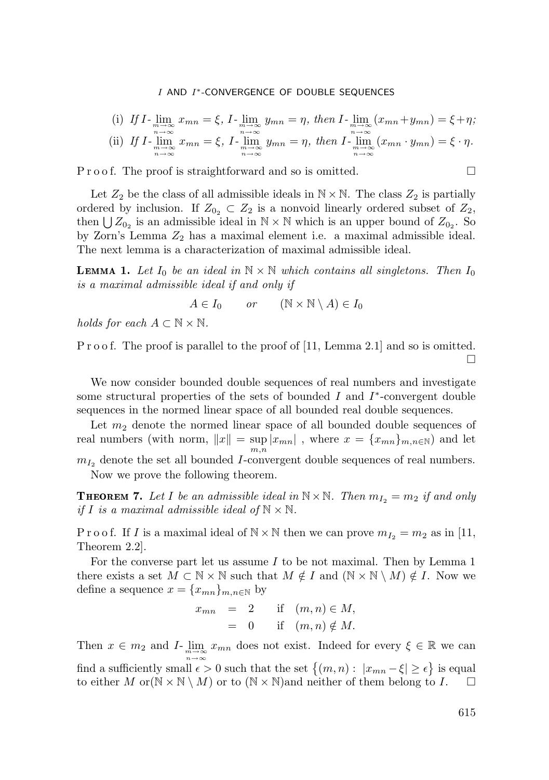(i) If 
$$
I
$$
-  $\lim_{m \to \infty}$   $x_{mn} = \xi$ ,  $I$ -  $\lim_{m \to \infty}$   $y_{mn} = \eta$ , then  $I$ -  $\lim_{m \to \infty}$   $(x_{mn} + y_{mn}) = \xi + \eta$ ;  
\n(ii) If  $I$ -  $\lim_{m \to \infty}$   $x_{mn} = \xi$ ,  $I$ -  $\lim_{m \to \infty}$   $y_{mn} = \eta$ , then  $I$ -  $\lim_{m \to \infty}$   $(x_{mn} \cdot y_{mn}) = \xi \cdot \eta$ .

P r o o f. The proof is straightforward and so is omitted.

Let  $Z_2$  be the class of all admissible ideals in  $\mathbb{N} \times \mathbb{N}$ . The class  $Z_2$  is partially ordered by inclusion. If  $Z_{0_2} \subset Z_2$  is a nonvoid linearly ordered subset of  $Z_2$ , then  $\bigcup Z_{0_2}$  is an admissible ideal in  $\mathbb{N} \times \mathbb{N}$  which is an upper bound of  $Z_{0_2}$ . So by Zorn's Lemma  $Z_2$  has a maximal element i.e. a maximal admissible ideal. The next lemma is a characterization of maximal admissible ideal.

**LEMMA 1.** Let  $I_0$  be an ideal in  $\mathbb{N} \times \mathbb{N}$  which contains all singletons. Then  $I_0$ *is a maximal admissible ideal if and only if*

$$
A \in I_0 \qquad or \qquad (\mathbb{N} \times \mathbb{N} \setminus A) \in I_0
$$

*holds for each*  $A \subset \mathbb{N} \times \mathbb{N}$ .

P r o o f. The proof is parallel to the proof of [11, Lemma 2.1] and so is omitted.  $\Box$ 

We now consider bounded double sequences of real numbers and investigate some structural properties of the sets of bounded I and  $I^*$ -convergent double sequences in the normed linear space of all bounded real double sequences.

Let  $m_2$  denote the normed linear space of all bounded double sequences of real numbers (with norm,  $||x|| = \sup_{m,n} |x_{mn}|$ , where  $x = \{x_{mn}\}_{m,n\in\mathbb{N}}$ ) and let

 $m_{I_2}$  denote the set all bounded *I*-convergent double sequences of real numbers. Now we prove the following theorem.

**THEOREM 7.** Let I be an admissible ideal in  $\mathbb{N} \times \mathbb{N}$ . Then  $m_{I_2} = m_2$  if and only *if I is a maximal admissible ideal of*  $\mathbb{N} \times \mathbb{N}$ *.* 

P r o o f. If I is a maximal ideal of  $\mathbb{N} \times \mathbb{N}$  then we can prove  $m_{I_2} = m_2$  as in [11, Theorem 2.2].

For the converse part let us assume  $I$  to be not maximal. Then by Lemma 1 there exists a set  $M \subset \mathbb{N} \times \mathbb{N}$  such that  $M \notin I$  and  $(\mathbb{N} \times \mathbb{N} \setminus M) \notin I$ . Now we define a sequence  $x = \{x_{mn}\}_{m,n\in\mathbb{N}}$  by

$$
x_{mn} = 2 \quad \text{if} \quad (m,n) \in M,
$$
  
= 0 \quad \text{if} \quad (m,n) \notin M.

Then  $x \in m_2$  and  $I$ - $\lim_{\substack{m \to \infty \\ n \to \infty}}$  $x_{mn}$  does not exist. Indeed for every  $\xi \in \mathbb{R}$  we can find a sufficiently small  $\epsilon > 0$  such that the set  $\{(m, n) : |x_{mn} - \xi| \geq \epsilon\}$  is equal to either M or  $(N \times N \setminus M)$  or to  $(N \times N)$  and neither of them belong to I.  $\square$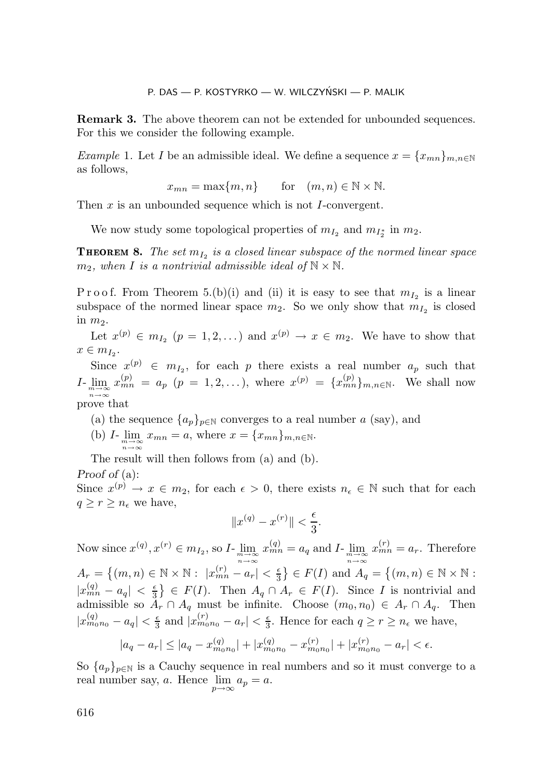**Remark 3.** The above theorem can not be extended for unbounded sequences. For this we consider the following example.

*Example* 1. Let *I* be an admissible ideal. We define a sequence  $x = \{x_{mn}\}_{m,n\in\mathbb{N}}$ as follows,

$$
x_{mn} = \max\{m, n\}
$$
 for  $(m, n) \in \mathbb{N} \times \mathbb{N}$ .

Then x is an unbounded sequence which is not I-convergent.

We now study some topological properties of  $m_{I_2}$  and  $m_{I_2^*}$  in  $m_2$ .

**THEOREM 8.** The set  $m_{I_2}$  is a closed linear subspace of the normed linear space  $m_2$ , when *I* is a nontrivial admissible ideal of  $\mathbb{N} \times \mathbb{N}$ .

P r o o f. From Theorem 5.(b)(i) and (ii) it is easy to see that  $m_{I_2}$  is a linear subspace of the normed linear space  $m_2$ . So we only show that  $m_{I_2}$  is closed in  $m_2$ .

Let  $x^{(p)} \in m_I$ ,  $(p = 1, 2, ...)$  and  $x^{(p)} \to x \in m_I$ . We have to show that  $x \in m_{I_2}$ .

Since  $x^{(p)} \in m_{I_2}$ , for each p there exists a real number  $a_p$  such that  $I_{\text{-}}\lim_{m\to\infty}x_{mn}^{(p)} = a_p$   $(p = 1, 2, ...),$  where  $x^{(p)} = \{x_{mn}^{(p)}\}_{m,n\in\mathbb{N}}.$  We shall now *n*→∞ prove that

- (a) the sequence  $\{a_p\}_{p\in\mathbb{N}}$  converges to a real number a (say), and
- (b)  $I_{\underset{n\to\infty}{\text{lim}}}\lim_{m\to\infty}x_{mn}=a$ , where  $x=\{x_{mn}\}_{m,n\in\mathbb{N}}$ .

The result will then follows from (a) and (b).

*Proof of* (a):

Since  $x^{(p)} \to x \in m_2$ , for each  $\epsilon > 0$ , there exists  $n_{\epsilon} \in \mathbb{N}$  such that for each  $q \geq r \geq n_{\epsilon}$  we have,

$$
||x^{(q)} - x^{(r)}|| < \frac{\epsilon}{3}.
$$

Now since  $x^{(q)}, x^{(r)} \in m_{I_2}$ , so  $I$ - $\lim_{\substack{m \to \infty \\ n \to \infty}} x^{(q)}_{mn} = a_q$  and  $I$ - $\lim_{\substack{m \to \infty \\ n \to \infty}}$  $x_{mn}^{(r)} = a_r$ . Therefore  $A_r = \{(m, n) \in \mathbb{N} \times \mathbb{N} : |x_{mn}^{(r)} - a_r| < \frac{\epsilon}{3}\} \in F(I) \text{ and } A_q = \{(m, n) \in \mathbb{N} \times \mathbb{N} :$  $|x_{mn}^{(q)} - a_q| < \frac{\epsilon}{3}$   $\in F(I)$ . Then  $A_q \cap A_r \in F(I)$ . Since I is nontrivial and admissible so  $A_r \cap A_q$  must be infinite. Choose  $(m_0, n_0) \in A_r \cap A_q$ . Then  $|x_{m_0n_0}^{(q)} - a_q| < \frac{\epsilon}{3}$  and  $|x_{m_0n_0}^{(r)} - a_r| < \frac{\epsilon}{3}$ . Hence for each  $q \geq r \geq n_{\epsilon}$  we have,

$$
|a_q - a_r| \le |a_q - x_{m_0 n_0}^{(q)}| + |x_{m_0 n_0}^{(q)} - x_{m_0 n_0}^{(r)}| + |x_{m_0 n_0}^{(r)} - a_r| < \epsilon.
$$

So  $\{a_p\}_{p\in\mathbb{N}}$  is a Cauchy sequence in real numbers and so it must converge to a real number say, a. Hence  $\lim_{p \to \infty} a_p = a$ .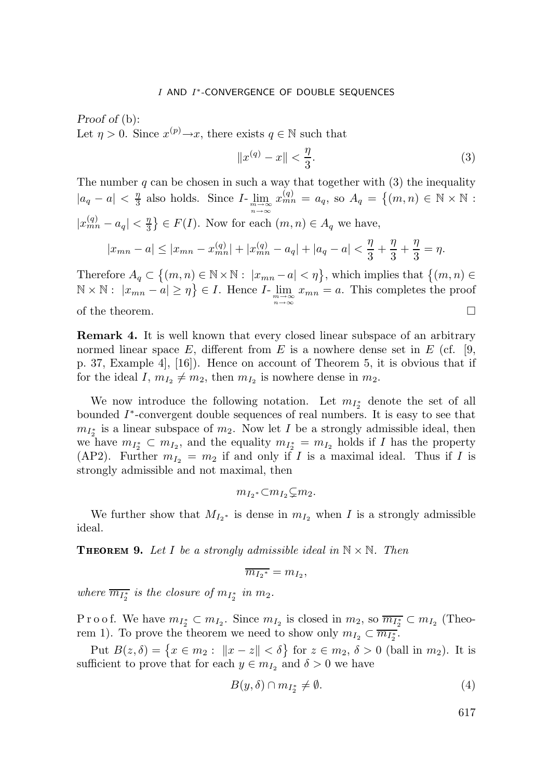*Proof of* (b): Let  $\eta > 0$ . Since  $x^{(p)} \rightarrow x$ , there exists  $q \in \mathbb{N}$  such that

$$
||x^{(q)} - x|| < \frac{\eta}{3}.
$$
 (3)

The number  $q$  can be chosen in such a way that together with  $(3)$  the inequality  $|a_q - a| < \frac{\eta}{3}$  also holds. Since  $I$ -  $\lim_{\substack{m \to \infty \\ n \to \infty}}$  $x_{mn}^{(q)} = a_q$ , so  $A_q = \{(m,n) \in \mathbb{N} \times \mathbb{N} :$  $|x_{mn}^{(q)} - a_q| < \frac{\eta}{3}$   $\in F(I)$ . Now for each  $(m, n) \in A_q$  we have,  $|x_{mn} - a| \le |x_{mn} - x_{mn}^{(q)}| + |x_{mn}^{(q)} - a_q| + |a_q - a| < \frac{\eta}{3} + \frac{\eta}{3} + \frac{\eta}{3} = \eta.$ 

Therefore  $A_q \subset \{(m,n) \in \mathbb{N} \times \mathbb{N}: |x_{mn} - a| < \eta\}$ , which implies that  $\{(m,n) \in \mathbb{N} \times \mathbb{N}: |x_{mn} - a| < \eta\}$  $\mathbb{N} \times \mathbb{N}$ :  $|x_{mn} - a| \geq \eta$   $\in I$ . Hence  $I$ -  $\lim_{m \to \infty} x_{mn} = a$ . This completes the proof *n*→∞ of the theorem.  $\Box$ 

**Remark 4** It is well known that every closed linear subspace of an arbitrary normed linear space  $E$ , different from  $E$  is a nowhere dense set in  $E$  (cf. [9, p. 37, Example 4], [16]). Hence on account of Theorem 5, it is obvious that if for the ideal I,  $m_{I_2} \neq m_2$ , then  $m_{I_2}$  is nowhere dense in  $m_2$ .

We now introduce the following notation. Let  $m_{I_2^*}$  denote the set of all bounded I∗-convergent double sequences of real numbers. It is easy to see that  $m_{I_2^*}$  is a linear subspace of  $m_2$ . Now let I be a strongly admissible ideal, then we have  $m_{I_2^*} \subset m_{I_2}$ , and the equality  $m_{I_2^*} = m_{I_2}$  holds if I has the property (AP2). Further  $m_{I_2} = m_2$  if and only if I is a maximal ideal. Thus if I is strongly admissible and not maximal, then

$$
m_{I_2} * \subset m_{I_2} \subsetneq m_2.
$$

We further show that  $M_{I_2^*}$  is dense in  $m_{I_2}$  when I is a strongly admissible ideal.

**THEOREM 9.** Let I be a strongly admissible ideal in  $\mathbb{N} \times \mathbb{N}$ . Then

$$
\overline{m_{I_2}^*} = m_{I_2},
$$

*where*  $\overline{m_{I_2^*}}$  *is the closure of*  $m_{I_2^*}$  *in*  $m_2$ *.* 

P r o o f. We have  $m_{I_2^*} \subset m_{I_2}$ . Since  $m_{I_2}$  is closed in  $m_2$ , so  $\overline{m_{I_2^*}} \subset m_{I_2}$  (Theorem 1). To prove the theorem we need to show only  $m_{I_2} \subset \overline{m_{I_2}}^2$ .

Put  $B(z, \delta) = \{x \in m_2 : ||x - z|| < \delta\}$  for  $z \in m_2, \delta > 0$  (ball in  $m_2$ ). It is sufficient to prove that for each  $y \in m_{I_2}$  and  $\delta > 0$  we have

$$
B(y,\delta) \cap m_{I_2^*} \neq \emptyset. \tag{4}
$$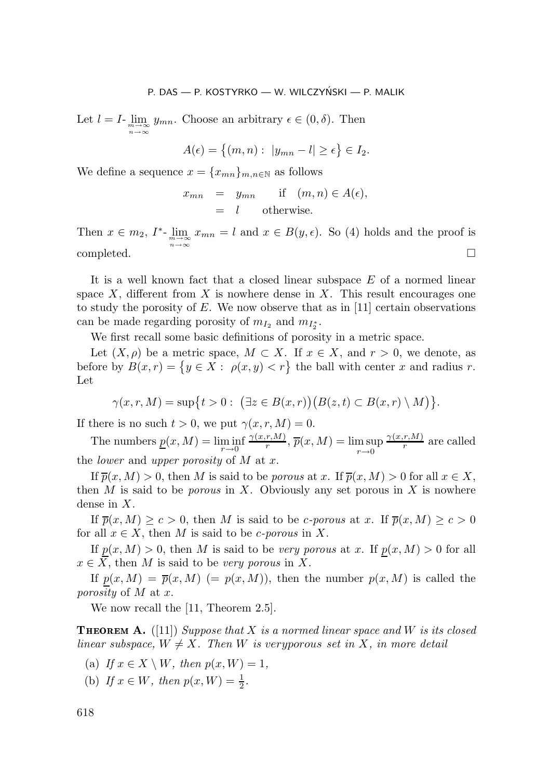Let  $l = I$ -  $\lim_{\substack{m \to \infty \\ n \to \infty}}$  $y_{mn}$ . Choose an arbitrary  $\epsilon \in (0, \delta)$ . Then

$$
A(\epsilon) = \{(m, n): |y_{mn} - l| \ge \epsilon\} \in I_2.
$$

We define a sequence  $x = \{x_{mn}\}_{m,n\in\mathbb{N}}$  as follows

$$
x_{mn} = y_{mn} \quad \text{if} \quad (m, n) \in A(\epsilon),
$$
  
= l \quad \text{otherwise.}

Then  $x \in m_2$ ,  $I^*$ -  $\lim_{\substack{m \to \infty \\ n \to \infty}}$  $x_{mn} = l$  and  $x \in B(y, \epsilon)$ . So (4) holds and the proof is completed.

It is a well known fact that a closed linear subspace E of a normed linear space X, different from X is nowhere dense in X. This result encourages one to study the porosity of  $E$ . We now observe that as in [11] certain observations can be made regarding porosity of  $m_{I_2}$  and  $m_{I_2^*}$ .

We first recall some basic definitions of porosity in a metric space.

Let  $(X, \rho)$  be a metric space,  $M \subset X$ . If  $x \in X$ , and  $r > 0$ , we denote, as before by  $B(x,r) = \{y \in X : \rho(x,y) < r\}$  the ball with center x and radius r. Let

$$
\gamma(x,r,M)=\sup\{t>0:\ \big(\exists z\in B(x,r)\big)\big(B(z,t)\subset B(x,r)\setminus M\big)\}.
$$

If there is no such  $t > 0$ , we put  $\gamma(x, r, M) = 0$ .

The numbers  $\underline{p}(x,M) = \liminf_{r\to 0} \frac{\gamma(x,r,M)}{r}, \overline{p}(x,M) = \limsup_{r\to 0} \frac{\gamma(x,r,M)}{r}$  are called the *lower* and *upper porosity* of M at x.

If  $\overline{p}(x, M) > 0$ , then M is said to be *porous* at x. If  $\overline{p}(x, M) > 0$  for all  $x \in X$ , then M is said to be *porous* in X. Obviously any set porous in X is nowhere dense in X.

If  $\overline{p}(x, M) \geq c > 0$ , then M is said to be *c*-porous at x. If  $\overline{p}(x, M) \geq c > 0$ for all  $x \in X$ , then M is said to be *c*-porous in X.

If  $p(x, M) > 0$ , then M is said to be *very porous* at x. If  $p(x, M) > 0$  for all  $x \in X$ , then M is said to be *very porous* in X.

If  $p(x, M) = \overline{p}(x, M)$  (=  $p(x, M)$ ), then the number  $p(x, M)$  is called the *porosity* of M at x.

We now recall the [11, Theorem 2.5].

 **A** ([11])*Suppose that* X *is a normed linear space and* W *is its closed linear subspace,*  $W \neq X$ *. Then W is veryporous set in X, in more detail* 

- (a) *If*  $x \in X \setminus W$ *, then*  $p(x, W) = 1$ *,*
- (b) If  $x \in W$ *, then*  $p(x, W) = \frac{1}{2}$ *.*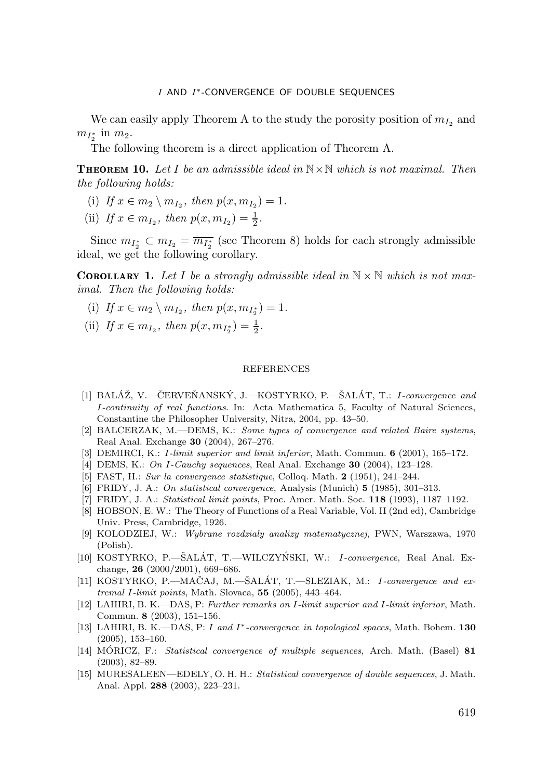We can easily apply Theorem A to the study the porosity position of  $m_{I_2}$  and  $m_{I_2^*}$  in  $m_2$ .

The following theorem is a direct application of Theorem A.

 **10** *Let* I *be an admissible ideal in* N×N *which is not maximal. Then the following holds:*

- (i) *If*  $x \in m_2 \setminus m_{I_2}$ , then  $p(x, m_{I_2}) = 1$ .
- (ii) If  $x \in m_{I_2}$ , then  $p(x, m_{I_2}) = \frac{1}{2}$ .

Since  $m_{I_2^*} \subset m_{I_2} = \overline{m_{I_2^*}}$  (see Theorem 8) holds for each strongly admissible ideal, we get the following corollary.

**COROLLARY 1.** Let I be a strongly admissible ideal in  $N \times N$  which is not max*imal. Then the following holds:*

- (i) If  $x \in m_2 \setminus m_{I_2}$ , then  $p(x, m_{I_2^*}) = 1$ .
- (ii) If  $x \in m_{I_2}$ , then  $p(x, m_{I_2^*}) = \frac{1}{2}$ .

#### REFERENCES

- [1] BALÁŽ, V.—ČERVEŇANSKÝ, J.—KOSTYRKO, P.—ŠALÁT, T.: I-convergence and I-continuity of real functions. In: Acta Mathematica 5, Faculty of Natural Sciences, Constantine the Philosopher University, Nitra, 2004, pp. 43–50.
- [2] BALCERZAK, M.—DEMS, K.: Some types of convergence and related Baire systems, Real Anal. Exchange **30** (2004), 267–276.
- [3] DEMIRCI, K.: I-limit superior and limit inferior, Math. Commun. **6** (2001), 165–172.
- [4] DEMS, K.: On I-Cauchy sequences, Real Anal. Exchange **30** (2004), 123–128.
- [5] FAST, H.: Sur la convergence statistique, Colloq. Math. **2** (1951), 241–244.
- [6] FRIDY, J. A.: On statistical convergence, Analysis (Munich) **5** (1985), 301–313.
- [7] FRIDY, J. A.: Statistical limit points, Proc. Amer. Math. Soc. **118** (1993), 1187–1192.
- [8] HOBSON, E. W.: The Theory of Functions of a Real Variable, Vol. II (2nd ed), Cambridge Univ. Press, Cambridge, 1926.
- [9] KOLODZIEJ, W.: Wybrane rozdzialy analizy matematycznej, PWN, Warszawa, 1970 (Polish).
- [10] KOSTYRKO, P.—ŠALÁT, T.—WILCZYŃSKI, W.: *I-convergence*, Real Anal. Exchange, **26** (2000/2001), 669–686.
- [11] KOSTYRKO, P.—MAČAJ, M.—ŠALÁT, T.—SLEZIAK, M.:  $I$ -convergence and extremal I-limit points, Math. Slovaca, **55** (2005), 443–464.
- [12] LAHIRI, B. K.—DAS, P: Further remarks on I-limit superior and I-limit inferior, Math. Commun. **8** (2003), 151–156.
- [13] LAHIRI, B. K.—DAS, P: I and I∗-convergence in topological spaces, Math. Bohem. **130** (2005), 153–160.
- [14] MORICZ, F.: *Statistical convergence of multiple sequences*, Arch. Math. (Basel) 81 (2003), 82–89.
- [15] MURESALEEN—EDELY, O. H. H.: Statistical convergence of double sequences, J. Math. Anal. Appl. **288** (2003), 223–231.